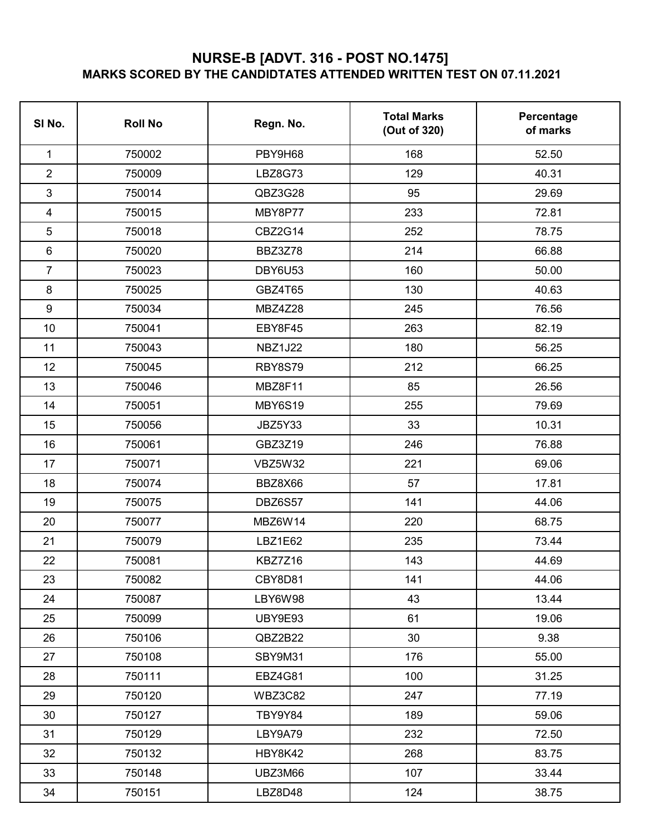## **NURSE-B [ADVT. 316 - POST NO.1475] MARKS SCORED BY THE CANDIDTATES ATTENDED WRITTEN TEST ON 07.11.2021**

| SI No.         | <b>Roll No</b> | Regn. No.      | <b>Total Marks</b><br>(Out of 320) | Percentage<br>of marks |
|----------------|----------------|----------------|------------------------------------|------------------------|
| 1              | 750002         | PBY9H68        | 168                                | 52.50                  |
| $\overline{2}$ | 750009         | LBZ8G73        | 129                                | 40.31                  |
| 3              | 750014         | QBZ3G28        | 95                                 | 29.69                  |
| 4              | 750015         | MBY8P77        | 233                                | 72.81                  |
| 5              | 750018         | <b>CBZ2G14</b> | 252                                | 78.75                  |
| 6              | 750020         | BBZ3Z78        | 214                                | 66.88                  |
| $\overline{7}$ | 750023         | DBY6U53        | 160                                | 50.00                  |
| 8              | 750025         | GBZ4T65        | 130                                | 40.63                  |
| 9              | 750034         | <b>MBZ4Z28</b> | 245                                | 76.56                  |
| 10             | 750041         | EBY8F45        | 263                                | 82.19                  |
| 11             | 750043         | <b>NBZ1J22</b> | 180                                | 56.25                  |
| 12             | 750045         | <b>RBY8S79</b> | 212                                | 66.25                  |
| 13             | 750046         | MBZ8F11        | 85                                 | 26.56                  |
| 14             | 750051         | <b>MBY6S19</b> | 255                                | 79.69                  |
| 15             | 750056         | <b>JBZ5Y33</b> | 33                                 | 10.31                  |
| 16             | 750061         | GBZ3Z19        | 246                                | 76.88                  |
| 17             | 750071         | <b>VBZ5W32</b> | 221                                | 69.06                  |
| 18             | 750074         | BBZ8X66        | 57                                 | 17.81                  |
| 19             | 750075         | DBZ6S57        | 141                                | 44.06                  |
| 20             | 750077         | MBZ6W14        | 220                                | 68.75                  |
| 21             | 750079         | LBZ1E62        | 235                                | 73.44                  |
| 22             | 750081         | KBZ7Z16        | 143                                | 44.69                  |
| 23             | 750082         | CBY8D81        | 141                                | 44.06                  |
| 24             | 750087         | LBY6W98        | 43                                 | 13.44                  |
| 25             | 750099         | UBY9E93        | 61                                 | 19.06                  |
| 26             | 750106         | QBZ2B22        | 30                                 | 9.38                   |
| 27             | 750108         | SBY9M31        | 176                                | 55.00                  |
| 28             | 750111         | <b>EBZ4G81</b> | 100                                | 31.25                  |
| 29             | 750120         | WBZ3C82        | 247                                | 77.19                  |
| 30             | 750127         | TBY9Y84        | 189                                | 59.06                  |
| 31             | 750129         | LBY9A79        | 232                                | 72.50                  |
| 32             | 750132         | HBY8K42        | 268                                | 83.75                  |
| 33             | 750148         | UBZ3M66        | 107                                | 33.44                  |
| 34             | 750151         | LBZ8D48        | 124                                | 38.75                  |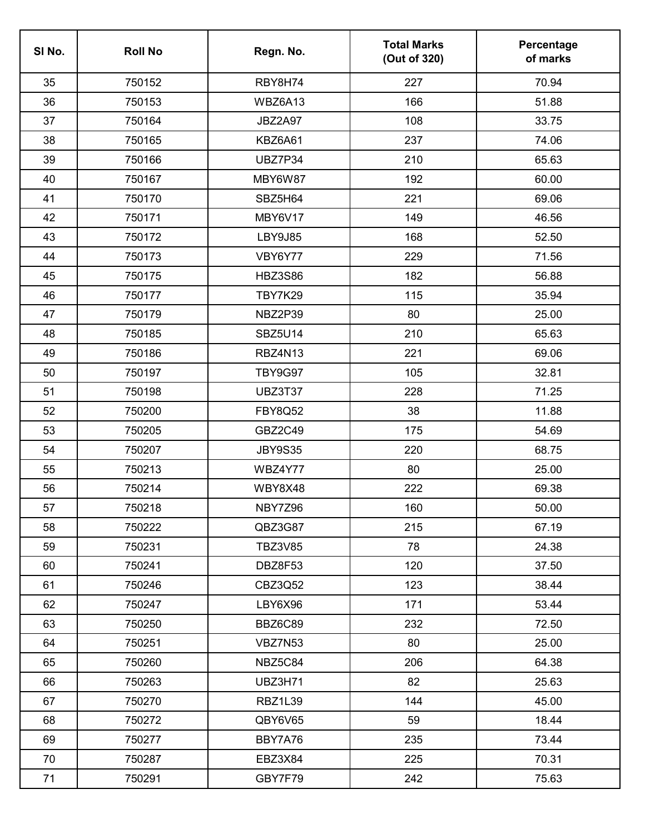| SI No. | <b>Roll No</b> | Regn. No.      | <b>Total Marks</b><br>(Out of 320) | Percentage<br>of marks |
|--------|----------------|----------------|------------------------------------|------------------------|
| 35     | 750152         | RBY8H74        | 227                                | 70.94                  |
| 36     | 750153         | WBZ6A13        | 166                                | 51.88                  |
| 37     | 750164         | <b>JBZ2A97</b> | 108                                | 33.75                  |
| 38     | 750165         | KBZ6A61        | 237                                | 74.06                  |
| 39     | 750166         | UBZ7P34        | 210                                | 65.63                  |
| 40     | 750167         | MBY6W87        | 192                                | 60.00                  |
| 41     | 750170         | SBZ5H64        | 221                                | 69.06                  |
| 42     | 750171         | MBY6V17        | 149                                | 46.56                  |
| 43     | 750172         | <b>LBY9J85</b> | 168                                | 52.50                  |
| 44     | 750173         | VBY6Y77        | 229                                | 71.56                  |
| 45     | 750175         | <b>HBZ3S86</b> | 182                                | 56.88                  |
| 46     | 750177         | TBY7K29        | 115                                | 35.94                  |
| 47     | 750179         | NBZ2P39        | 80                                 | 25.00                  |
| 48     | 750185         | <b>SBZ5U14</b> | 210                                | 65.63                  |
| 49     | 750186         | RBZ4N13        | 221                                | 69.06                  |
| 50     | 750197         | <b>TBY9G97</b> | 105                                | 32.81                  |
| 51     | 750198         | <b>UBZ3T37</b> | 228                                | 71.25                  |
| 52     | 750200         | <b>FBY8Q52</b> | 38                                 | 11.88                  |
| 53     | 750205         | GBZ2C49        | 175                                | 54.69                  |
| 54     | 750207         | <b>JBY9S35</b> | 220                                | 68.75                  |
| 55     | 750213         | WBZ4Y77        | 80                                 | 25.00                  |
| 56     | 750214         | WBY8X48        | 222                                | 69.38                  |
| 57     | 750218         | NBY7Z96        | 160                                | 50.00                  |
| 58     | 750222         | QBZ3G87        | 215                                | 67.19                  |
| 59     | 750231         | <b>TBZ3V85</b> | 78                                 | 24.38                  |
| 60     | 750241         | DBZ8F53        | 120                                | 37.50                  |
| 61     | 750246         | CBZ3Q52        | 123                                | 38.44                  |
| 62     | 750247         | LBY6X96        | 171                                | 53.44                  |
| 63     | 750250         | BBZ6C89        | 232                                | 72.50                  |
| 64     | 750251         | VBZ7N53        | 80                                 | 25.00                  |
| 65     | 750260         | NBZ5C84        | 206                                | 64.38                  |
| 66     | 750263         | <b>UBZ3H71</b> | 82                                 | 25.63                  |
| 67     | 750270         | RBZ1L39        | 144                                | 45.00                  |
| 68     | 750272         | QBY6V65        | 59                                 | 18.44                  |
| 69     | 750277         | BBY7A76        | 235                                | 73.44                  |
| 70     | 750287         | EBZ3X84        | 225                                | 70.31                  |
| 71     | 750291         | GBY7F79        | 242                                | 75.63                  |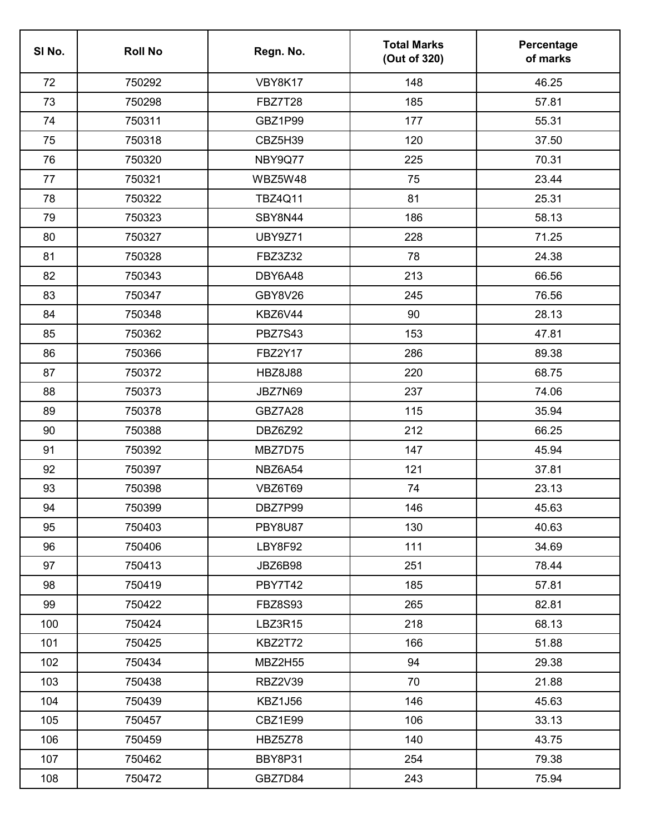| SI No. | <b>Roll No</b> | Regn. No.      | <b>Total Marks</b><br>(Out of 320) | Percentage<br>of marks |
|--------|----------------|----------------|------------------------------------|------------------------|
| 72     | 750292         | VBY8K17        | 148                                | 46.25                  |
| 73     | 750298         | <b>FBZ7T28</b> | 185                                | 57.81                  |
| 74     | 750311         | GBZ1P99        | 177                                | 55.31                  |
| 75     | 750318         | CBZ5H39        | 120                                | 37.50                  |
| 76     | 750320         | NBY9Q77        | 225                                | 70.31                  |
| 77     | 750321         | WBZ5W48        | 75                                 | 23.44                  |
| 78     | 750322         | <b>TBZ4Q11</b> | 81                                 | 25.31                  |
| 79     | 750323         | SBY8N44        | 186                                | 58.13                  |
| 80     | 750327         | <b>UBY9Z71</b> | 228                                | 71.25                  |
| 81     | 750328         | FBZ3Z32        | 78                                 | 24.38                  |
| 82     | 750343         | DBY6A48        | 213                                | 66.56                  |
| 83     | 750347         | GBY8V26        | 245                                | 76.56                  |
| 84     | 750348         | KBZ6V44        | 90                                 | 28.13                  |
| 85     | 750362         | <b>PBZ7S43</b> | 153                                | 47.81                  |
| 86     | 750366         | <b>FBZ2Y17</b> | 286                                | 89.38                  |
| 87     | 750372         | <b>HBZ8J88</b> | 220                                | 68.75                  |
| 88     | 750373         | JBZ7N69        | 237                                | 74.06                  |
| 89     | 750378         | GBZ7A28        | 115                                | 35.94                  |
| 90     | 750388         | DBZ6Z92        | 212                                | 66.25                  |
| 91     | 750392         | MBZ7D75        | 147                                | 45.94                  |
| 92     | 750397         | NBZ6A54        | 121                                | 37.81                  |
| 93     | 750398         | VBZ6T69        | 74                                 | 23.13                  |
| 94     | 750399         | DBZ7P99        | 146                                | 45.63                  |
| 95     | 750403         | <b>PBY8U87</b> | 130                                | 40.63                  |
| 96     | 750406         | LBY8F92        | 111                                | 34.69                  |
| 97     | 750413         | JBZ6B98        | 251                                | 78.44                  |
| 98     | 750419         | PBY7T42        | 185                                | 57.81                  |
| 99     | 750422         | <b>FBZ8S93</b> | 265                                | 82.81                  |
| 100    | 750424         | LBZ3R15        | 218                                | 68.13                  |
| 101    | 750425         | KBZ2T72        | 166                                | 51.88                  |
| 102    | 750434         | <b>MBZ2H55</b> | 94                                 | 29.38                  |
| 103    | 750438         | <b>RBZ2V39</b> | 70                                 | 21.88                  |
| 104    | 750439         | <b>KBZ1J56</b> | 146                                | 45.63                  |
| 105    | 750457         | CBZ1E99        | 106                                | 33.13                  |
| 106    | 750459         | HBZ5Z78        | 140                                | 43.75                  |
| 107    | 750462         | BBY8P31        | 254                                | 79.38                  |
| 108    | 750472         | GBZ7D84        | 243                                | 75.94                  |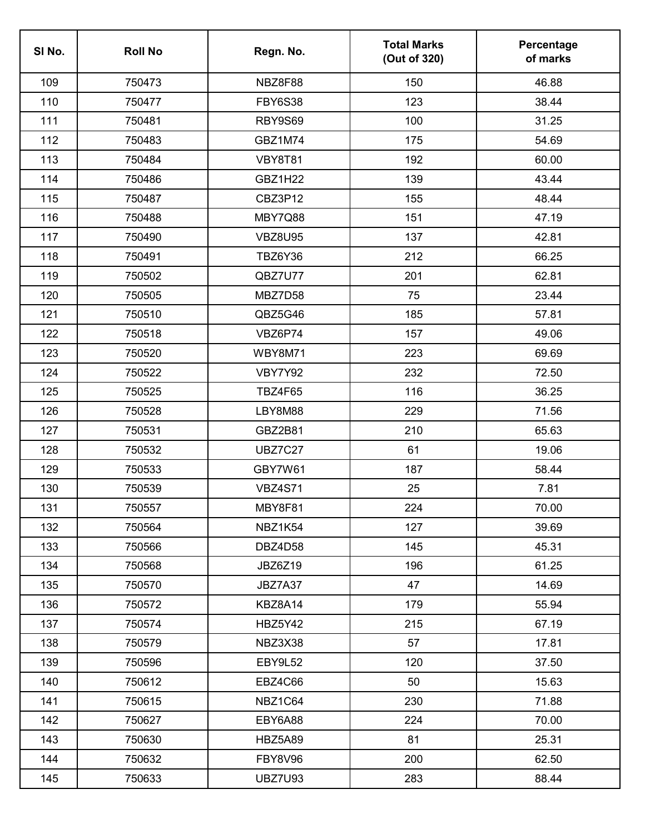| SI No. | <b>Roll No</b> | Regn. No.      | <b>Total Marks</b><br>(Out of 320) | Percentage<br>of marks |
|--------|----------------|----------------|------------------------------------|------------------------|
| 109    | 750473         | NBZ8F88        | 150                                | 46.88                  |
| 110    | 750477         | <b>FBY6S38</b> | 123                                | 38.44                  |
| 111    | 750481         | RBY9S69        | 100                                | 31.25                  |
| 112    | 750483         | GBZ1M74        | 175                                | 54.69                  |
| 113    | 750484         | <b>VBY8T81</b> | 192                                | 60.00                  |
| 114    | 750486         | <b>GBZ1H22</b> | 139                                | 43.44                  |
| 115    | 750487         | CBZ3P12        | 155                                | 48.44                  |
| 116    | 750488         | MBY7Q88        | 151                                | 47.19                  |
| 117    | 750490         | <b>VBZ8U95</b> | 137                                | 42.81                  |
| 118    | 750491         | <b>TBZ6Y36</b> | 212                                | 66.25                  |
| 119    | 750502         | QBZ7U77        | 201                                | 62.81                  |
| 120    | 750505         | MBZ7D58        | 75                                 | 23.44                  |
| 121    | 750510         | QBZ5G46        | 185                                | 57.81                  |
| 122    | 750518         | VBZ6P74        | 157                                | 49.06                  |
| 123    | 750520         | <b>WBY8M71</b> | 223                                | 69.69                  |
| 124    | 750522         | <b>VBY7Y92</b> | 232                                | 72.50                  |
| 125    | 750525         | <b>TBZ4F65</b> | 116                                | 36.25                  |
| 126    | 750528         | LBY8M88        | 229                                | 71.56                  |
| 127    | 750531         | GBZ2B81        | 210                                | 65.63                  |
| 128    | 750532         | <b>UBZ7C27</b> | 61                                 | 19.06                  |
| 129    | 750533         | GBY7W61        | 187                                | 58.44                  |
| 130    | 750539         | <b>VBZ4S71</b> | 25                                 | 7.81                   |
| 131    | 750557         | MBY8F81        | 224                                | 70.00                  |
| 132    | 750564         | NBZ1K54        | 127                                | 39.69                  |
| 133    | 750566         | DBZ4D58        | 145                                | 45.31                  |
| 134    | 750568         | <b>JBZ6Z19</b> | 196                                | 61.25                  |
| 135    | 750570         | JBZ7A37        | 47                                 | 14.69                  |
| 136    | 750572         | KBZ8A14        | 179                                | 55.94                  |
| 137    | 750574         | <b>HBZ5Y42</b> | 215                                | 67.19                  |
| 138    | 750579         | NBZ3X38        | 57                                 | 17.81                  |
| 139    | 750596         | EBY9L52        | 120                                | 37.50                  |
| 140    | 750612         | EBZ4C66        | 50                                 | 15.63                  |
| 141    | 750615         | NBZ1C64        | 230                                | 71.88                  |
| 142    | 750627         | EBY6A88        | 224                                | 70.00                  |
| 143    | 750630         | HBZ5A89        | 81                                 | 25.31                  |
| 144    | 750632         | <b>FBY8V96</b> | 200                                | 62.50                  |
| 145    | 750633         | <b>UBZ7U93</b> | 283                                | 88.44                  |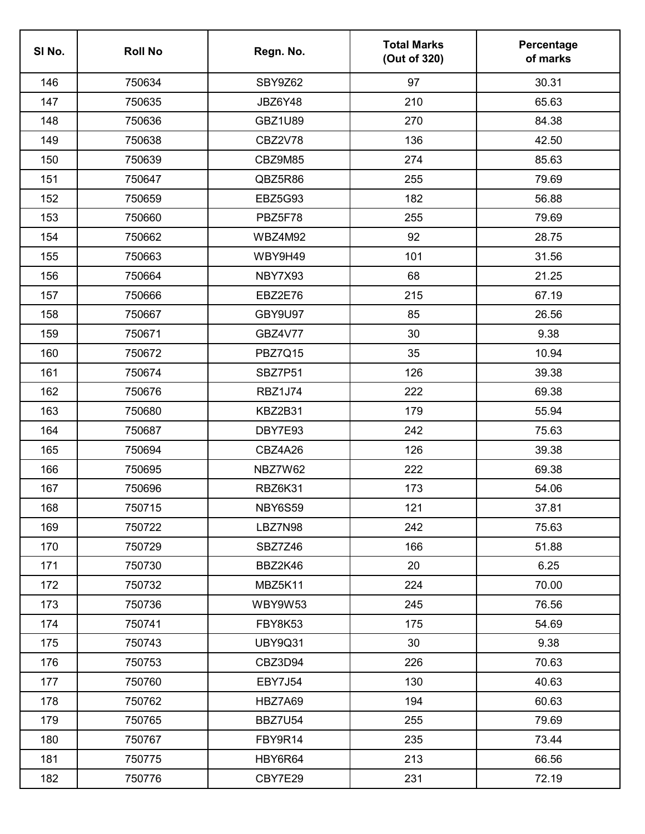| SI <sub>No.</sub> | <b>Roll No</b> | Regn. No.      | <b>Total Marks</b><br>(Out of 320) | Percentage<br>of marks |
|-------------------|----------------|----------------|------------------------------------|------------------------|
| 146               | 750634         | SBY9Z62        | 97                                 | 30.31                  |
| 147               | 750635         | JBZ6Y48        | 210                                | 65.63                  |
| 148               | 750636         | <b>GBZ1U89</b> | 270                                | 84.38                  |
| 149               | 750638         | CBZ2V78        | 136                                | 42.50                  |
| 150               | 750639         | CBZ9M85        | 274                                | 85.63                  |
| 151               | 750647         | QBZ5R86        | 255                                | 79.69                  |
| 152               | 750659         | <b>EBZ5G93</b> | 182                                | 56.88                  |
| 153               | 750660         | PBZ5F78        | 255                                | 79.69                  |
| 154               | 750662         | WBZ4M92        | 92                                 | 28.75                  |
| 155               | 750663         | WBY9H49        | 101                                | 31.56                  |
| 156               | 750664         | NBY7X93        | 68                                 | 21.25                  |
| 157               | 750666         | EBZ2E76        | 215                                | 67.19                  |
| 158               | 750667         | GBY9U97        | 85                                 | 26.56                  |
| 159               | 750671         | GBZ4V77        | 30                                 | 9.38                   |
| 160               | 750672         | <b>PBZ7Q15</b> | 35                                 | 10.94                  |
| 161               | 750674         | SBZ7P51        | 126                                | 39.38                  |
| 162               | 750676         | <b>RBZ1J74</b> | 222                                | 69.38                  |
| 163               | 750680         | KBZ2B31        | 179                                | 55.94                  |
| 164               | 750687         | DBY7E93        | 242                                | 75.63                  |
| 165               | 750694         | CBZ4A26        | 126                                | 39.38                  |
| 166               | 750695         | NBZ7W62        | 222                                | 69.38                  |
| 167               | 750696         | RBZ6K31        | 173                                | 54.06                  |
| 168               | 750715         | NBY6S59        | 121                                | 37.81                  |
| 169               | 750722         | LBZ7N98        | 242                                | 75.63                  |
| 170               | 750729         | SBZ7Z46        | 166                                | 51.88                  |
| 171               | 750730         | BBZ2K46        | 20                                 | 6.25                   |
| 172               | 750732         | MBZ5K11        | 224                                | 70.00                  |
| 173               | 750736         | <b>WBY9W53</b> | 245                                | 76.56                  |
| 174               | 750741         | FBY8K53        | 175                                | 54.69                  |
| 175               | 750743         | <b>UBY9Q31</b> | 30                                 | 9.38                   |
| 176               | 750753         | CBZ3D94        | 226                                | 70.63                  |
| 177               | 750760         | <b>EBY7J54</b> | 130                                | 40.63                  |
| 178               | 750762         | HBZ7A69        | 194                                | 60.63                  |
| 179               | 750765         | <b>BBZ7U54</b> | 255                                | 79.69                  |
| 180               | 750767         | FBY9R14        | 235                                | 73.44                  |
| 181               | 750775         | HBY6R64        | 213                                | 66.56                  |
| 182               | 750776         | CBY7E29        | 231                                | 72.19                  |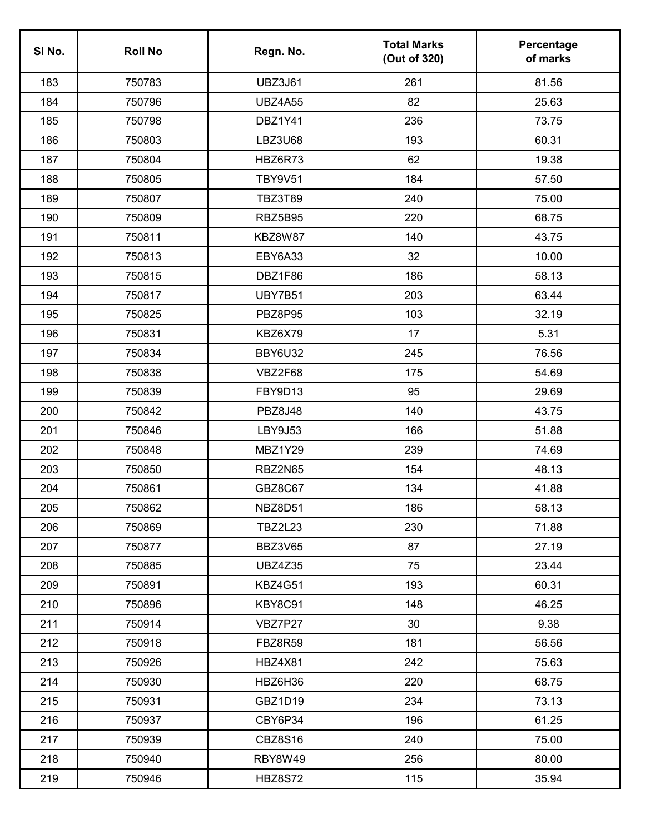| SI <sub>No.</sub> | <b>Roll No</b> | Regn. No.      | <b>Total Marks</b><br>(Out of 320) | Percentage<br>of marks |
|-------------------|----------------|----------------|------------------------------------|------------------------|
| 183               | 750783         | <b>UBZ3J61</b> | 261                                | 81.56                  |
| 184               | 750796         | <b>UBZ4A55</b> | 82                                 | 25.63                  |
| 185               | 750798         | DBZ1Y41        | 236                                | 73.75                  |
| 186               | 750803         | LBZ3U68        | 193                                | 60.31                  |
| 187               | 750804         | HBZ6R73        | 62                                 | 19.38                  |
| 188               | 750805         | <b>TBY9V51</b> | 184                                | 57.50                  |
| 189               | 750807         | <b>TBZ3T89</b> | 240                                | 75.00                  |
| 190               | 750809         | <b>RBZ5B95</b> | 220                                | 68.75                  |
| 191               | 750811         | KBZ8W87        | 140                                | 43.75                  |
| 192               | 750813         | EBY6A33        | 32                                 | 10.00                  |
| 193               | 750815         | DBZ1F86        | 186                                | 58.13                  |
| 194               | 750817         | <b>UBY7B51</b> | 203                                | 63.44                  |
| 195               | 750825         | PBZ8P95        | 103                                | 32.19                  |
| 196               | 750831         | KBZ6X79        | 17                                 | 5.31                   |
| 197               | 750834         | BBY6U32        | 245                                | 76.56                  |
| 198               | 750838         | VBZ2F68        | 175                                | 54.69                  |
| 199               | 750839         | FBY9D13        | 95                                 | 29.69                  |
| 200               | 750842         | <b>PBZ8J48</b> | 140                                | 43.75                  |
| 201               | 750846         | <b>LBY9J53</b> | 166                                | 51.88                  |
| 202               | 750848         | <b>MBZ1Y29</b> | 239                                | 74.69                  |
| 203               | 750850         | <b>RBZ2N65</b> | 154                                | 48.13                  |
| 204               | 750861         | <b>GBZ8C67</b> | 134                                | 41.88                  |
| 205               | 750862         | NBZ8D51        | 186                                | 58.13                  |
| 206               | 750869         | <b>TBZ2L23</b> | 230                                | 71.88                  |
| 207               | 750877         | <b>BBZ3V65</b> | 87                                 | 27.19                  |
| 208               | 750885         | <b>UBZ4Z35</b> | 75                                 | 23.44                  |
| 209               | 750891         | <b>KBZ4G51</b> | 193                                | 60.31                  |
| 210               | 750896         | KBY8C91        | 148                                | 46.25                  |
| 211               | 750914         | VBZ7P27        | 30                                 | 9.38                   |
| 212               | 750918         | <b>FBZ8R59</b> | 181                                | 56.56                  |
| 213               | 750926         | <b>HBZ4X81</b> | 242                                | 75.63                  |
| 214               | 750930         | HBZ6H36        | 220                                | 68.75                  |
| 215               | 750931         | GBZ1D19        | 234                                | 73.13                  |
| 216               | 750937         | CBY6P34        | 196                                | 61.25                  |
| 217               | 750939         | <b>CBZ8S16</b> | 240                                | 75.00                  |
| 218               | 750940         | RBY8W49        | 256                                | 80.00                  |
| 219               | 750946         | <b>HBZ8S72</b> | 115                                | 35.94                  |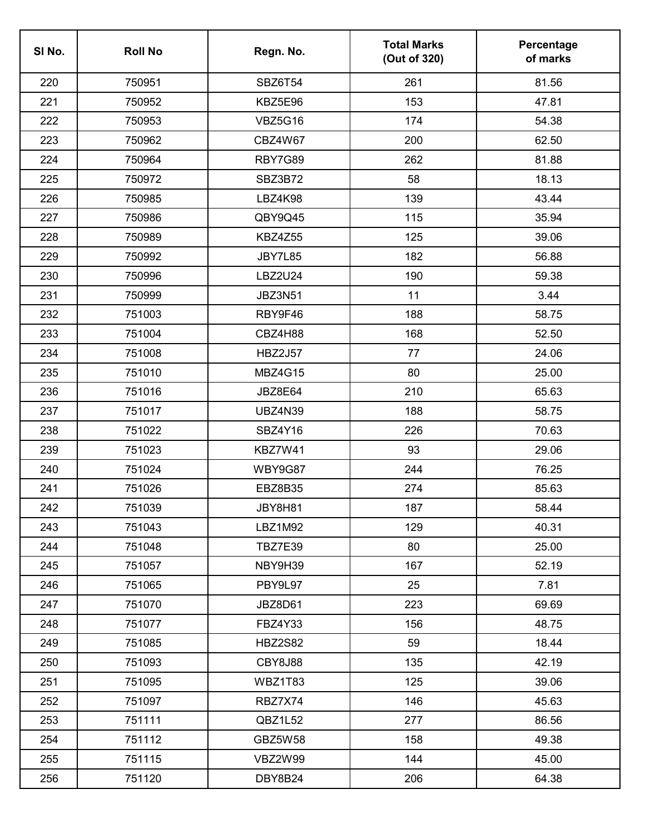| SI <sub>No.</sub> | <b>Roll No</b> | Regn. No.      | <b>Total Marks</b><br>(Out of 320) | Percentage<br>of marks |
|-------------------|----------------|----------------|------------------------------------|------------------------|
| 220               | 750951         | SBZ6T54        | 261                                | 81.56                  |
| 221               | 750952         | KBZ5E96        | 153                                | 47.81                  |
| 222               | 750953         | <b>VBZ5G16</b> | 174                                | 54.38                  |
| 223               | 750962         | CBZ4W67        | 200                                | 62.50                  |
| 224               | 750964         | RBY7G89        | 262                                | 81.88                  |
| 225               | 750972         | SBZ3B72        | 58                                 | 18.13                  |
| 226               | 750985         | <b>LBZ4K98</b> | 139                                | 43.44                  |
| 227               | 750986         | QBY9Q45        | 115                                | 35.94                  |
| 228               | 750989         | <b>KBZ4Z55</b> | 125                                | 39.06                  |
| 229               | 750992         | JBY7L85        | 182                                | 56.88                  |
| 230               | 750996         | <b>LBZ2U24</b> | 190                                | 59.38                  |
| 231               | 750999         | <b>JBZ3N51</b> | 11                                 | 3.44                   |
| 232               | 751003         | RBY9F46        | 188                                | 58.75                  |
| 233               | 751004         | CBZ4H88        | 168                                | 52.50                  |
| 234               | 751008         | <b>HBZ2J57</b> | 77                                 | 24.06                  |
| 235               | 751010         | <b>MBZ4G15</b> | 80                                 | 25.00                  |
| 236               | 751016         | JBZ8E64        | 210                                | 65.63                  |
| 237               | 751017         | <b>UBZ4N39</b> | 188                                | 58.75                  |
| 238               | 751022         | SBZ4Y16        | 226                                | 70.63                  |
| 239               | 751023         | KBZ7W41        | 93                                 | 29.06                  |
| 240               | 751024         | WBY9G87        | 244                                | 76.25                  |
| 241               | 751026         | <b>EBZ8B35</b> | 274                                | 85.63                  |
| 242               | 751039         | JBY8H81        | 187                                | 58.44                  |
| 243               | 751043         | <b>LBZ1M92</b> | 129                                | 40.31                  |
| 244               | 751048         | <b>TBZ7E39</b> | 80                                 | 25.00                  |
| 245               | 751057         | NBY9H39        | 167                                | 52.19                  |
| 246               | 751065         | PBY9L97        | 25                                 | 7.81                   |
| 247               | 751070         | JBZ8D61        | 223                                | 69.69                  |
| 248               | 751077         | FBZ4Y33        | 156                                | 48.75                  |
| 249               | 751085         | <b>HBZ2S82</b> | 59                                 | 18.44                  |
| 250               | 751093         | CBY8J88        | 135                                | 42.19                  |
| 251               | 751095         | WBZ1T83        | 125                                | 39.06                  |
| 252               | 751097         | RBZ7X74        | 146                                | 45.63                  |
| 253               | 751111         | QBZ1L52        | 277                                | 86.56                  |
| 254               | 751112         | GBZ5W58        | 158                                | 49.38                  |
| 255               | 751115         | VBZ2W99        | 144                                | 45.00                  |
| 256               | 751120         | DBY8B24        | 206                                | 64.38                  |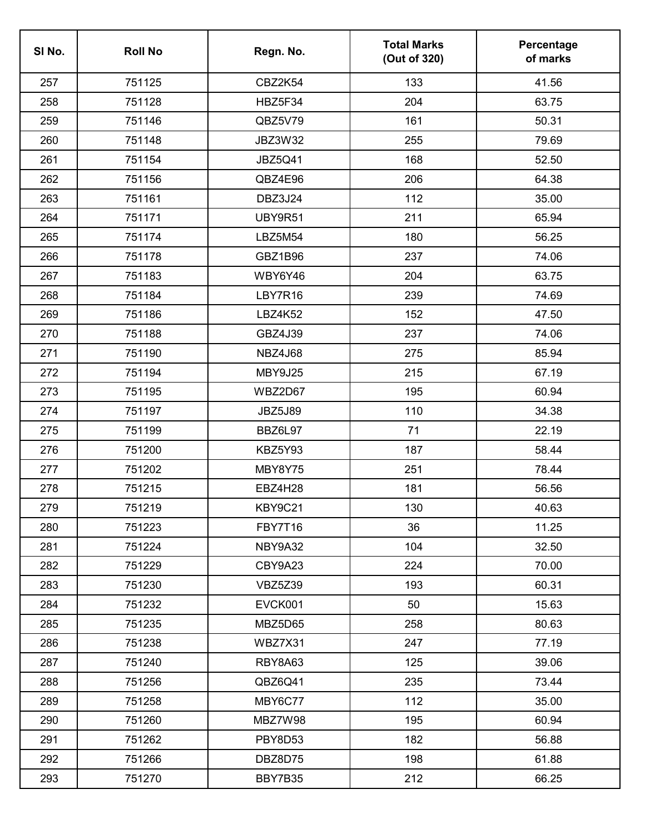| SI No. | <b>Roll No</b> | Regn. No.      | <b>Total Marks</b><br>(Out of 320) | Percentage<br>of marks |
|--------|----------------|----------------|------------------------------------|------------------------|
| 257    | 751125         | CBZ2K54        | 133                                | 41.56                  |
| 258    | 751128         | HBZ5F34        | 204                                | 63.75                  |
| 259    | 751146         | QBZ5V79        | 161                                | 50.31                  |
| 260    | 751148         | JBZ3W32        | 255                                | 79.69                  |
| 261    | 751154         | <b>JBZ5Q41</b> | 168                                | 52.50                  |
| 262    | 751156         | QBZ4E96        | 206                                | 64.38                  |
| 263    | 751161         | DBZ3J24        | 112                                | 35.00                  |
| 264    | 751171         | UBY9R51        | 211                                | 65.94                  |
| 265    | 751174         | <b>LBZ5M54</b> | 180                                | 56.25                  |
| 266    | 751178         | GBZ1B96        | 237                                | 74.06                  |
| 267    | 751183         | WBY6Y46        | 204                                | 63.75                  |
| 268    | 751184         | LBY7R16        | 239                                | 74.69                  |
| 269    | 751186         | <b>LBZ4K52</b> | 152                                | 47.50                  |
| 270    | 751188         | GBZ4J39        | 237                                | 74.06                  |
| 271    | 751190         | <b>NBZ4J68</b> | 275                                | 85.94                  |
| 272    | 751194         | MBY9J25        | 215                                | 67.19                  |
| 273    | 751195         | WBZ2D67        | 195                                | 60.94                  |
| 274    | 751197         | <b>JBZ5J89</b> | 110                                | 34.38                  |
| 275    | 751199         | BBZ6L97        | 71                                 | 22.19                  |
| 276    | 751200         | KBZ5Y93        | 187                                | 58.44                  |
| 277    | 751202         | MBY8Y75        | 251                                | 78.44                  |
| 278    | 751215         | EBZ4H28        | 181                                | 56.56                  |
| 279    | 751219         | KBY9C21        | 130                                | 40.63                  |
| 280    | 751223         | <b>FBY7T16</b> | 36                                 | 11.25                  |
| 281    | 751224         | NBY9A32        | 104                                | 32.50                  |
| 282    | 751229         | CBY9A23        | 224                                | 70.00                  |
| 283    | 751230         | VBZ5Z39        | 193                                | 60.31                  |
| 284    | 751232         | EVCK001        | 50                                 | 15.63                  |
| 285    | 751235         | MBZ5D65        | 258                                | 80.63                  |
| 286    | 751238         | WBZ7X31        | 247                                | 77.19                  |
| 287    | 751240         | RBY8A63        | 125                                | 39.06                  |
| 288    | 751256         | QBZ6Q41        | 235                                | 73.44                  |
| 289    | 751258         | MBY6C77        | 112                                | 35.00                  |
| 290    | 751260         | MBZ7W98        | 195                                | 60.94                  |
| 291    | 751262         | PBY8D53        | 182                                | 56.88                  |
| 292    | 751266         | DBZ8D75        | 198                                | 61.88                  |
| 293    | 751270         | BBY7B35        | 212                                | 66.25                  |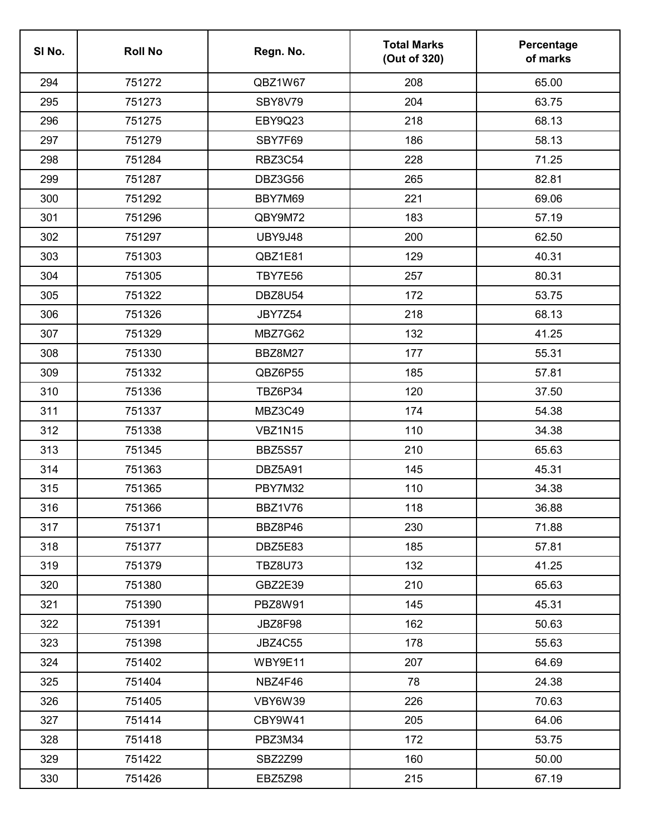| SI No. | <b>Roll No</b> | Regn. No.      | <b>Total Marks</b><br>(Out of 320) | Percentage<br>of marks |
|--------|----------------|----------------|------------------------------------|------------------------|
| 294    | 751272         | QBZ1W67        | 208                                | 65.00                  |
| 295    | 751273         | SBY8V79        | 204                                | 63.75                  |
| 296    | 751275         | EBY9Q23        | 218                                | 68.13                  |
| 297    | 751279         | SBY7F69        | 186                                | 58.13                  |
| 298    | 751284         | <b>RBZ3C54</b> | 228                                | 71.25                  |
| 299    | 751287         | <b>DBZ3G56</b> | 265                                | 82.81                  |
| 300    | 751292         | BBY7M69        | 221                                | 69.06                  |
| 301    | 751296         | QBY9M72        | 183                                | 57.19                  |
| 302    | 751297         | <b>UBY9J48</b> | 200                                | 62.50                  |
| 303    | 751303         | QBZ1E81        | 129                                | 40.31                  |
| 304    | 751305         | <b>TBY7E56</b> | 257                                | 80.31                  |
| 305    | 751322         | <b>DBZ8U54</b> | 172                                | 53.75                  |
| 306    | 751326         | <b>JBY7Z54</b> | 218                                | 68.13                  |
| 307    | 751329         | MBZ7G62        | 132                                | 41.25                  |
| 308    | 751330         | <b>BBZ8M27</b> | 177                                | 55.31                  |
| 309    | 751332         | QBZ6P55        | 185                                | 57.81                  |
| 310    | 751336         | TBZ6P34        | 120                                | 37.50                  |
| 311    | 751337         | MBZ3C49        | 174                                | 54.38                  |
| 312    | 751338         | <b>VBZ1N15</b> | 110                                | 34.38                  |
| 313    | 751345         | <b>BBZ5S57</b> | 210                                | 65.63                  |
| 314    | 751363         | DBZ5A91        | 145                                | 45.31                  |
| 315    | 751365         | PBY7M32        | 110                                | 34.38                  |
| 316    | 751366         | BBZ1V76        | 118                                | 36.88                  |
| 317    | 751371         | BBZ8P46        | 230                                | 71.88                  |
| 318    | 751377         | DBZ5E83        | 185                                | 57.81                  |
| 319    | 751379         | <b>TBZ8U73</b> | 132                                | 41.25                  |
| 320    | 751380         | GBZ2E39        | 210                                | 65.63                  |
| 321    | 751390         | <b>PBZ8W91</b> | 145                                | 45.31                  |
| 322    | 751391         | JBZ8F98        | 162                                | 50.63                  |
| 323    | 751398         | <b>JBZ4C55</b> | 178                                | 55.63                  |
| 324    | 751402         | WBY9E11        | 207                                | 64.69                  |
| 325    | 751404         | NBZ4F46        | 78                                 | 24.38                  |
| 326    | 751405         | VBY6W39        | 226                                | 70.63                  |
| 327    | 751414         | CBY9W41        | 205                                | 64.06                  |
| 328    | 751418         | PBZ3M34        | 172                                | 53.75                  |
| 329    | 751422         | SBZ2Z99        | 160                                | 50.00                  |
| 330    | 751426         | EBZ5Z98        | 215                                | 67.19                  |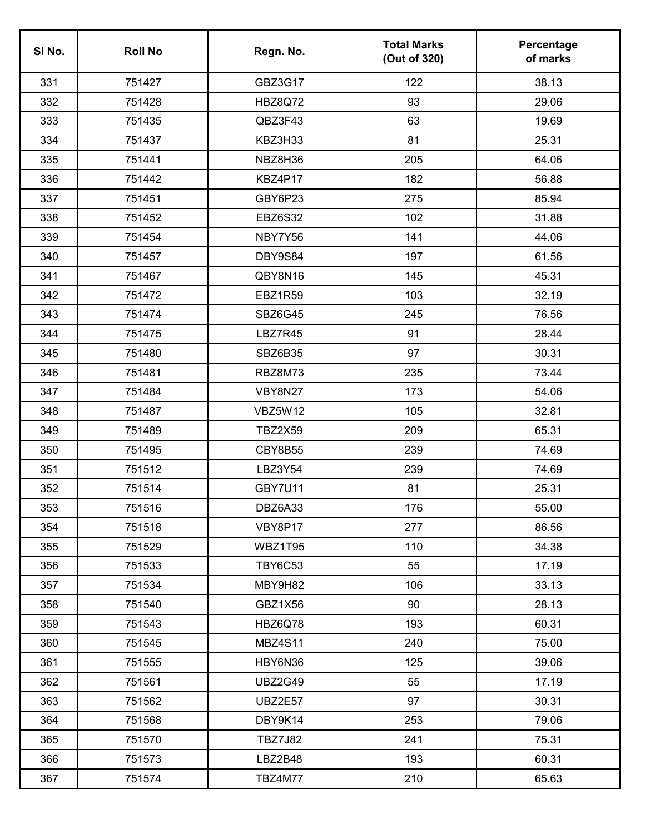| SI No. | <b>Roll No</b> | Regn. No.      | <b>Total Marks</b><br>(Out of 320) | Percentage<br>of marks |
|--------|----------------|----------------|------------------------------------|------------------------|
| 331    | 751427         | GBZ3G17        | 122                                | 38.13                  |
| 332    | 751428         | <b>HBZ8Q72</b> | 93                                 | 29.06                  |
| 333    | 751435         | QBZ3F43        | 63                                 | 19.69                  |
| 334    | 751437         | KBZ3H33        | 81                                 | 25.31                  |
| 335    | 751441         | NBZ8H36        | 205                                | 64.06                  |
| 336    | 751442         | KBZ4P17        | 182                                | 56.88                  |
| 337    | 751451         | GBY6P23        | 275                                | 85.94                  |
| 338    | 751452         | <b>EBZ6S32</b> | 102                                | 31.88                  |
| 339    | 751454         | NBY7Y56        | 141                                | 44.06                  |
| 340    | 751457         | DBY9S84        | 197                                | 61.56                  |
| 341    | 751467         | QBY8N16        | 145                                | 45.31                  |
| 342    | 751472         | <b>EBZ1R59</b> | 103                                | 32.19                  |
| 343    | 751474         | <b>SBZ6G45</b> | 245                                | 76.56                  |
| 344    | 751475         | LBZ7R45        | 91                                 | 28.44                  |
| 345    | 751480         | SBZ6B35        | 97                                 | 30.31                  |
| 346    | 751481         | RBZ8M73        | 235                                | 73.44                  |
| 347    | 751484         | <b>VBY8N27</b> | 173                                | 54.06                  |
| 348    | 751487         | <b>VBZ5W12</b> | 105                                | 32.81                  |
| 349    | 751489         | <b>TBZ2X59</b> | 209                                | 65.31                  |
| 350    | 751495         | CBY8B55        | 239                                | 74.69                  |
| 351    | 751512         | LBZ3Y54        | 239                                | 74.69                  |
| 352    | 751514         | <b>GBY7U11</b> | 81                                 | 25.31                  |
| 353    | 751516         | DBZ6A33        | 176                                | 55.00                  |
| 354    | 751518         | VBY8P17        | 277                                | 86.56                  |
| 355    | 751529         | WBZ1T95        | 110                                | 34.38                  |
| 356    | 751533         | <b>TBY6C53</b> | 55                                 | 17.19                  |
| 357    | 751534         | MBY9H82        | 106                                | 33.13                  |
| 358    | 751540         | GBZ1X56        | 90                                 | 28.13                  |
| 359    | 751543         | HBZ6Q78        | 193                                | 60.31                  |
| 360    | 751545         | <b>MBZ4S11</b> | 240                                | 75.00                  |
| 361    | 751555         | HBY6N36        | 125                                | 39.06                  |
| 362    | 751561         | <b>UBZ2G49</b> | 55                                 | 17.19                  |
| 363    | 751562         | <b>UBZ2E57</b> | 97                                 | 30.31                  |
| 364    | 751568         | DBY9K14        | 253                                | 79.06                  |
| 365    | 751570         | <b>TBZ7J82</b> | 241                                | 75.31                  |
| 366    | 751573         | LBZ2B48        | 193                                | 60.31                  |
| 367    | 751574         | TBZ4M77        | 210                                | 65.63                  |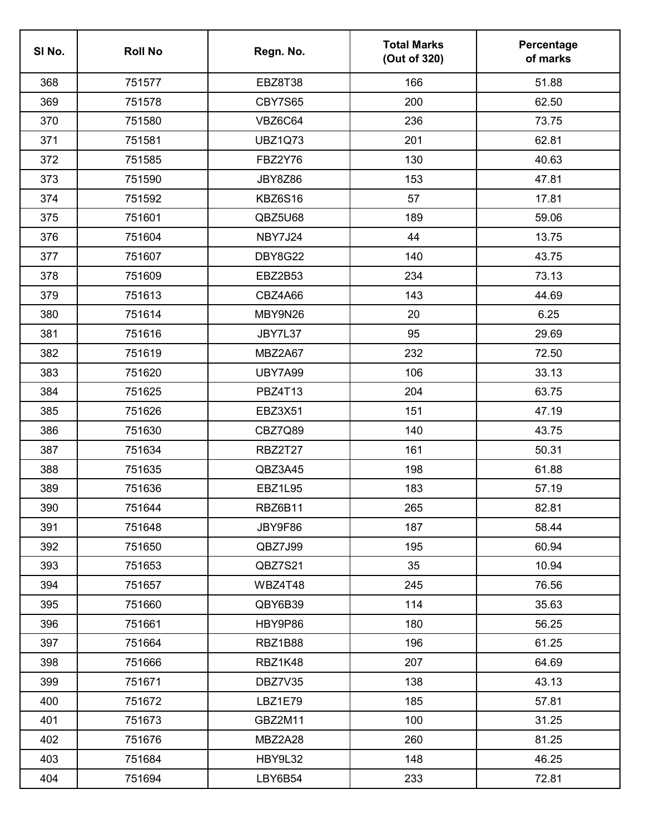| SI No. | <b>Roll No</b> | Regn. No.      | <b>Total Marks</b><br>(Out of 320) | Percentage<br>of marks |
|--------|----------------|----------------|------------------------------------|------------------------|
| 368    | 751577         | EBZ8T38        | 166                                | 51.88                  |
| 369    | 751578         | <b>CBY7S65</b> | 200                                | 62.50                  |
| 370    | 751580         | VBZ6C64        | 236                                | 73.75                  |
| 371    | 751581         | <b>UBZ1Q73</b> | 201                                | 62.81                  |
| 372    | 751585         | <b>FBZ2Y76</b> | 130                                | 40.63                  |
| 373    | 751590         | <b>JBY8Z86</b> | 153                                | 47.81                  |
| 374    | 751592         | <b>KBZ6S16</b> | 57                                 | 17.81                  |
| 375    | 751601         | QBZ5U68        | 189                                | 59.06                  |
| 376    | 751604         | NBY7J24        | 44                                 | 13.75                  |
| 377    | 751607         | <b>DBY8G22</b> | 140                                | 43.75                  |
| 378    | 751609         | EBZ2B53        | 234                                | 73.13                  |
| 379    | 751613         | CBZ4A66        | 143                                | 44.69                  |
| 380    | 751614         | MBY9N26        | 20                                 | 6.25                   |
| 381    | 751616         | JBY7L37        | 95                                 | 29.69                  |
| 382    | 751619         | MBZ2A67        | 232                                | 72.50                  |
| 383    | 751620         | <b>UBY7A99</b> | 106                                | 33.13                  |
| 384    | 751625         | <b>PBZ4T13</b> | 204                                | 63.75                  |
| 385    | 751626         | <b>EBZ3X51</b> | 151                                | 47.19                  |
| 386    | 751630         | CBZ7Q89        | 140                                | 43.75                  |
| 387    | 751634         | <b>RBZ2T27</b> | 161                                | 50.31                  |
| 388    | 751635         | QBZ3A45        | 198                                | 61.88                  |
| 389    | 751636         | <b>EBZ1L95</b> | 183                                | 57.19                  |
| 390    | 751644         | RBZ6B11        | 265                                | 82.81                  |
| 391    | 751648         | JBY9F86        | 187                                | 58.44                  |
| 392    | 751650         | QBZ7J99        | 195                                | 60.94                  |
| 393    | 751653         | QBZ7S21        | 35                                 | 10.94                  |
| 394    | 751657         | WBZ4T48        | 245                                | 76.56                  |
| 395    | 751660         | QBY6B39        | 114                                | 35.63                  |
| 396    | 751661         | HBY9P86        | 180                                | 56.25                  |
| 397    | 751664         | <b>RBZ1B88</b> | 196                                | 61.25                  |
| 398    | 751666         | RBZ1K48        | 207                                | 64.69                  |
| 399    | 751671         | DBZ7V35        | 138                                | 43.13                  |
| 400    | 751672         | LBZ1E79        | 185                                | 57.81                  |
| 401    | 751673         | GBZ2M11        | 100                                | 31.25                  |
| 402    | 751676         | MBZ2A28        | 260                                | 81.25                  |
| 403    | 751684         | HBY9L32        | 148                                | 46.25                  |
| 404    | 751694         | LBY6B54        | 233                                | 72.81                  |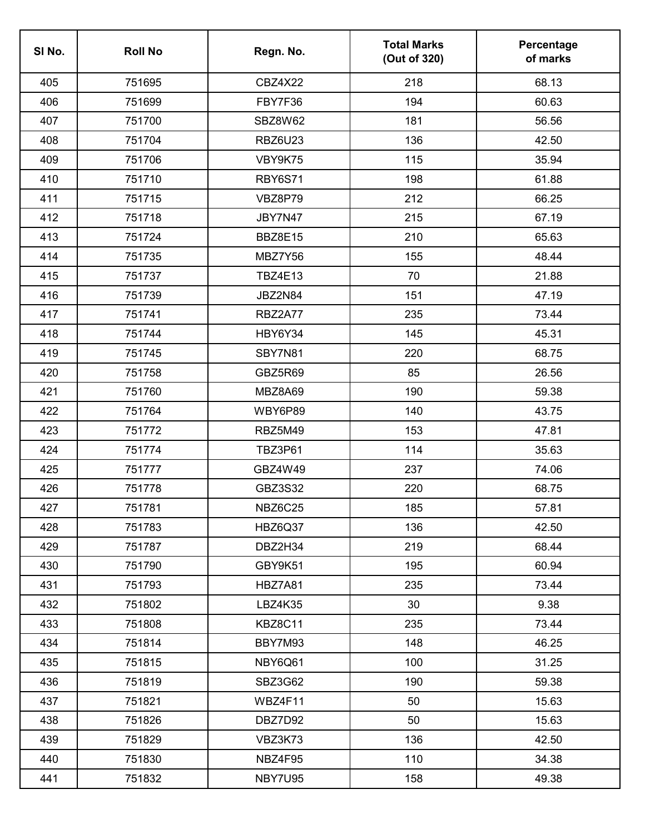| SI No. | <b>Roll No</b> | Regn. No.      | <b>Total Marks</b><br>(Out of 320) | Percentage<br>of marks |
|--------|----------------|----------------|------------------------------------|------------------------|
| 405    | 751695         | <b>CBZ4X22</b> | 218                                | 68.13                  |
| 406    | 751699         | FBY7F36        | 194                                | 60.63                  |
| 407    | 751700         | SBZ8W62        | 181                                | 56.56                  |
| 408    | 751704         | <b>RBZ6U23</b> | 136                                | 42.50                  |
| 409    | 751706         | VBY9K75        | 115                                | 35.94                  |
| 410    | 751710         | <b>RBY6S71</b> | 198                                | 61.88                  |
| 411    | 751715         | VBZ8P79        | 212                                | 66.25                  |
| 412    | 751718         | JBY7N47        | 215                                | 67.19                  |
| 413    | 751724         | <b>BBZ8E15</b> | 210                                | 65.63                  |
| 414    | 751735         | MBZ7Y56        | 155                                | 48.44                  |
| 415    | 751737         | <b>TBZ4E13</b> | 70                                 | 21.88                  |
| 416    | 751739         | <b>JBZ2N84</b> | 151                                | 47.19                  |
| 417    | 751741         | <b>RBZ2A77</b> | 235                                | 73.44                  |
| 418    | 751744         | HBY6Y34        | 145                                | 45.31                  |
| 419    | 751745         | SBY7N81        | 220                                | 68.75                  |
| 420    | 751758         | GBZ5R69        | 85                                 | 26.56                  |
| 421    | 751760         | MBZ8A69        | 190                                | 59.38                  |
| 422    | 751764         | WBY6P89        | 140                                | 43.75                  |
| 423    | 751772         | RBZ5M49        | 153                                | 47.81                  |
| 424    | 751774         | <b>TBZ3P61</b> | 114                                | 35.63                  |
| 425    | 751777         | GBZ4W49        | 237                                | 74.06                  |
| 426    | 751778         | GBZ3S32        | 220                                | 68.75                  |
| 427    | 751781         | NBZ6C25        | 185                                | 57.81                  |
| 428    | 751783         | HBZ6Q37        | 136                                | 42.50                  |
| 429    | 751787         | DBZ2H34        | 219                                | 68.44                  |
| 430    | 751790         | GBY9K51        | 195                                | 60.94                  |
| 431    | 751793         | HBZ7A81        | 235                                | 73.44                  |
| 432    | 751802         | LBZ4K35        | 30                                 | 9.38                   |
| 433    | 751808         | <b>KBZ8C11</b> | 235                                | 73.44                  |
| 434    | 751814         | BBY7M93        | 148                                | 46.25                  |
| 435    | 751815         | NBY6Q61        | 100                                | 31.25                  |
| 436    | 751819         | SBZ3G62        | 190                                | 59.38                  |
| 437    | 751821         | WBZ4F11        | 50                                 | 15.63                  |
| 438    | 751826         | DBZ7D92        | 50                                 | 15.63                  |
| 439    | 751829         | VBZ3K73        | 136                                | 42.50                  |
| 440    | 751830         | NBZ4F95        | 110                                | 34.38                  |
| 441    | 751832         | NBY7U95        | 158                                | 49.38                  |